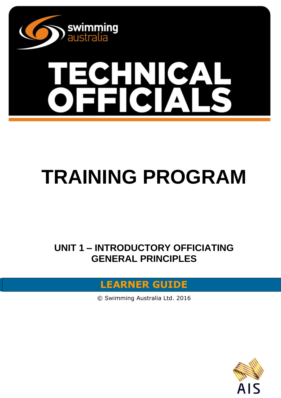

# **TRAINING PROGRAM**

**UNIT 1 – INTRODUCTORY OFFICIATING GENERAL PRINCIPLES**

### **LEARNER GUIDE**

© Swimming Australia Ltd. 2016

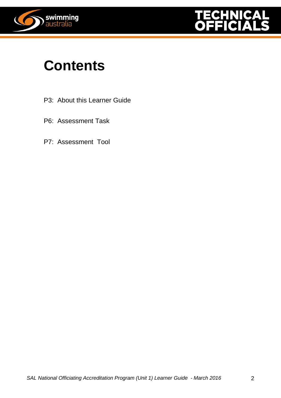



### **Contents**

- P3: About this Learner Guide
- P6: Assessment Task
- P7: Assessment Tool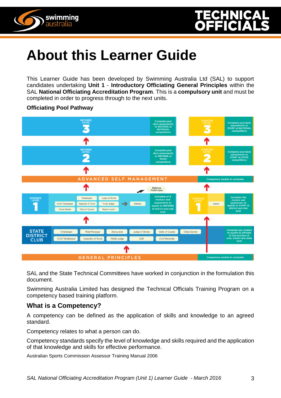



## **About this Learner Guide**

This Learner Guide has been developed by Swimming Australia Ltd (SAL) to support candidates undertaking **Unit 1** - **Introductory Officiating General Principles** within the SAL **National Officiating Accreditation Program**. This is a **compulsory unit** and must be completed in order to progress through to the next units.



#### **Officiating Pool Pathway**

SAL and the State Technical Committees have worked in conjunction in the formulation this document.

Swimming Australia Limited has designed the Technical Officials Training Program on a competency based training platform.

#### **What is a Competency?**

A competency can be defined as the application of skills and knowledge to an agreed standard.

Competency relates to what a person can do.

Competency standards specify the level of knowledge and skills required and the application of that knowledge and skills for effective performance.

Australian Sports Commission Assessor Training Manual 2006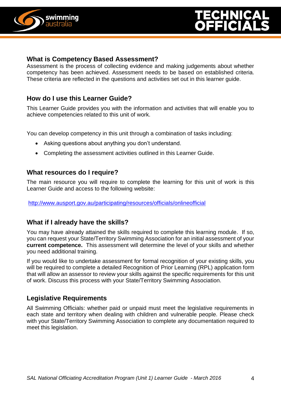

#### **What is Competency Based Assessment?**

Assessment is the process of collecting evidence and making judgements about whether competency has been achieved. Assessment needs to be based on established criteria. These criteria are reflected in the questions and activities set out in this learner guide.

#### **How do I use this Learner Guide?**

This Learner Guide provides you with the information and activities that will enable you to achieve competencies related to this unit of work.

You can develop competency in this unit through a combination of tasks including:

- Asking questions about anything you don't understand.
- Completing the assessment activities outlined in this Learner Guide.

#### **What resources do I require?**

The main resource you will require to complete the learning for this unit of work is this Learner Guide and access to the following website:

<http://www.ausport.gov.au/participating/resources/officials/onlineofficial>

#### **What if I already have the skills?**

You may have already attained the skills required to complete this learning module. If so, you can request your State/Territory Swimming Association for an initial assessment of your **current competence.** This assessment will determine the level of your skills and whether you need additional training.

If you would like to undertake assessment for formal recognition of your existing skills, you will be required to complete a detailed Recognition of Prior Learning (RPL) application form that will allow an assessor to review your skills against the specific requirements for this unit of work. Discuss this process with your State/Territory Swimming Association.

#### **Legislative Requirements**

All Swimming Officials: whether paid or unpaid must meet the legislative requirements in each state and territory when dealing with children and vulnerable people. Please check with your State/Territory Swimming Association to complete any documentation required to meet this legislation.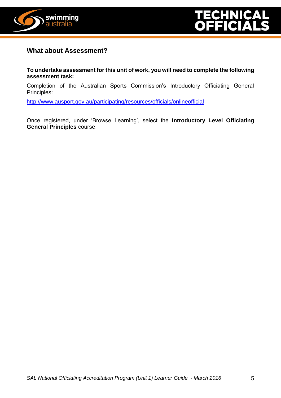

#### **What about Assessment?**

**To undertake assessment for this unit of work, you will need to complete the following assessment task:**

Completion of the Australian Sports Commission's Introductory Officiating General Principles:

<http://www.ausport.gov.au/participating/resources/officials/onlineofficial>

Once registered, under 'Browse Learning', select the **Introductory Level Officiating General Principles** course.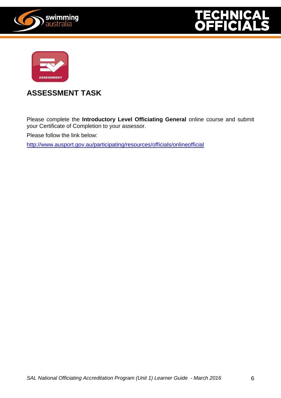





#### **ASSESSMENT TASK**

Please complete the **Introductory Level Officiating General** online course and submit your Certificate of Completion to your assessor.

Please follow the link below:

<http://www.ausport.gov.au/participating/resources/officials/onlineofficial>